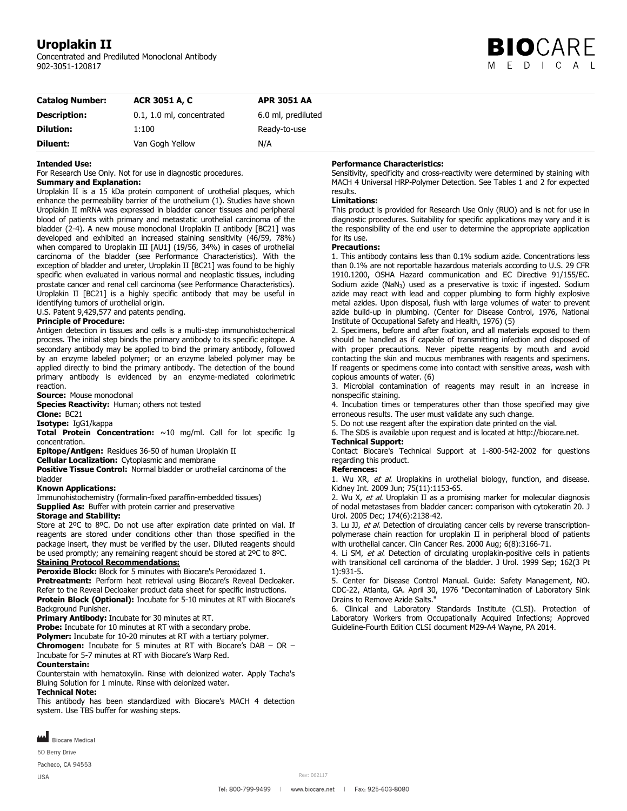# **Uroplakin II**

Concentrated and Prediluted Monoclonal Antibody 902-3051-120817



| <b>Catalog Number:</b> | <b>ACR 3051 A, C</b>      | <b>APR 3051 AA</b> |  |
|------------------------|---------------------------|--------------------|--|
| <b>Description:</b>    | 0.1, 1.0 ml, concentrated | 6.0 ml, prediluted |  |
| <b>Dilution:</b>       | 1:100                     | Ready-to-use       |  |
| Diluent:               | Van Gogh Yellow           | N/A                |  |

#### **Intended Use:**

For Research Use Only. Not for use in diagnostic procedures.

#### **Summary and Explanation:**

Uroplakin II is a 15 kDa protein component of urothelial plaques, which enhance the permeability barrier of the urothelium (1). Studies have shown Uroplakin II mRNA was expressed in bladder cancer tissues and peripheral blood of patients with primary and metastatic urothelial carcinoma of the bladder (2-4). A new mouse monoclonal Uroplakin II antibody [BC21] was developed and exhibited an increased staining sensitivity (46/59, 78%) when compared to Uroplakin III [AU1] (19/56, 34%) in cases of urothelial carcinoma of the bladder (see Performance Characteristics). With the exception of bladder and ureter, Uroplakin II [BC21] was found to be highly specific when evaluated in various normal and neoplastic tissues, including prostate cancer and renal cell carcinoma (see Performance Characteristics). Uroplakin II [BC21] is a highly specific antibody that may be useful in identifying tumors of urothelial origin.

U.S. Patent 9,429,577 and patents pending.

#### **Principle of Procedure:**

Antigen detection in tissues and cells is a multi-step immunohistochemical process. The initial step binds the primary antibody to its specific epitope. A secondary antibody may be applied to bind the primary antibody, followed by an enzyme labeled polymer; or an enzyme labeled polymer may be applied directly to bind the primary antibody. The detection of the bound primary antibody is evidenced by an enzyme-mediated colorimetric reaction.

**Source:** Mouse monoclonal

**Species Reactivity:** Human; others not tested

**Clone:** BC21

**Isotype:** IgG1/kappa

**Total Protein Concentration:** ~10 mg/ml. Call for lot specific Ig concentration.

**Epitope/Antigen:** Residues 36-50 of human Uroplakin II

**Cellular Localization:** Cytoplasmic and membrane

**Positive Tissue Control:** Normal bladder or urothelial carcinoma of the

bladder

### **Known Applications:**

Immunohistochemistry (formalin-fixed paraffin-embedded tissues) **Supplied As:** Buffer with protein carrier and preservative

#### **Storage and Stability:**

Store at 2°C to 8°C. Do not use after expiration date printed on vial. If reagents are stored under conditions other than those specified in the package insert, they must be verified by the user. Diluted reagents should be used promptly; any remaining reagent should be stored at 2ºC to 8ºC.

# **Staining Protocol Recommendations:**

**Peroxide Block:** Block for 5 minutes with Biocare's Peroxidazed 1. **Pretreatment:** Perform heat retrieval using Biocare's Reveal Decloaker. Refer to the Reveal Decloaker product data sheet for specific instructions. **Protein Block (Optional):** Incubate for 5-10 minutes at RT with Biocare's Background Punisher.

**Primary Antibody:** Incubate for 30 minutes at RT.

**Probe:** Incubate for 10 minutes at RT with a secondary probe.

**Polymer:** Incubate for 10-20 minutes at RT with a tertiary polymer.

**Chromogen:** Incubate for 5 minutes at RT with Biocare's DAB – OR – Incubate for 5-7 minutes at RT with Biocare's Warp Red.

## **Counterstain:**

Counterstain with hematoxylin. Rinse with deionized water. Apply Tacha's Bluing Solution for 1 minute. Rinse with deionized water.

#### **Technical Note:**

This antibody has been standardized with Biocare's MACH 4 detection system. Use TBS buffer for washing steps.



60 Berry Drive

Pacheco, CA 94553

**USA** 

## **Performance Characteristics:**

Sensitivity, specificity and cross-reactivity were determined by staining with MACH 4 Universal HRP-Polymer Detection. See Tables 1 and 2 for expected results.

#### **Limitations:**

This product is provided for Research Use Only (RUO) and is not for use in diagnostic procedures. Suitability for specific applications may vary and it is the responsibility of the end user to determine the appropriate application for its use.

#### **Precautions:**

1. This antibody contains less than 0.1% sodium azide. Concentrations less than 0.1% are not reportable hazardous materials according to U.S. 29 CFR 1910.1200, OSHA Hazard communication and EC Directive 91/155/EC. Sodium azide (NaN<sub>3</sub>) used as a preservative is toxic if ingested. Sodium azide may react with lead and copper plumbing to form highly explosive metal azides. Upon disposal, flush with large volumes of water to prevent azide build-up in plumbing. (Center for Disease Control, 1976, National Institute of Occupational Safety and Health, 1976) (5)

2. Specimens, before and after fixation, and all materials exposed to them should be handled as if capable of transmitting infection and disposed of with proper precautions. Never pipette reagents by mouth and avoid contacting the skin and mucous membranes with reagents and specimens. If reagents or specimens come into contact with sensitive areas, wash with copious amounts of water. (6)

3. Microbial contamination of reagents may result in an increase in nonspecific staining.

4. Incubation times or temperatures other than those specified may give erroneous results. The user must validate any such change.

5. Do not use reagent after the expiration date printed on the vial.

6. The SDS is available upon request and is located at http://biocare.net.

#### **Technical Support:**

Contact Biocare's Technical Support at 1-800-542-2002 for questions regarding this product.

#### **References:**

1. Wu XR, et al. Uroplakins in urothelial biology, function, and disease. Kidney Int. 2009 Jun; 75(11):1153-65.

2. Wu X, et al. Uroplakin II as a promising marker for molecular diagnosis of nodal metastases from bladder cancer: comparison with cytokeratin 20. J Urol. 2005 Dec; 174(6):2138-42.

3. Lu JJ, et al. Detection of circulating cancer cells by reverse transcriptionpolymerase chain reaction for uroplakin II in peripheral blood of patients with urothelial cancer. Clin Cancer Res. 2000 Aug; 6(8):3166-71.

4. Li SM, et al. Detection of circulating uroplakin-positive cells in patients with transitional cell carcinoma of the bladder. J Urol. 1999 Sep; 162(3 Pt 1):931-5.

5. Center for Disease Control Manual. Guide: Safety Management, NO. CDC-22, Atlanta, GA. April 30, 1976 "Decontamination of Laboratory Sink Drains to Remove Azide Salts."

6. Clinical and Laboratory Standards Institute (CLSI). Protection of Laboratory Workers from Occupationally Acquired Infections; Approved Guideline-Fourth Edition CLSI document M29-A4 Wayne, PA 2014.